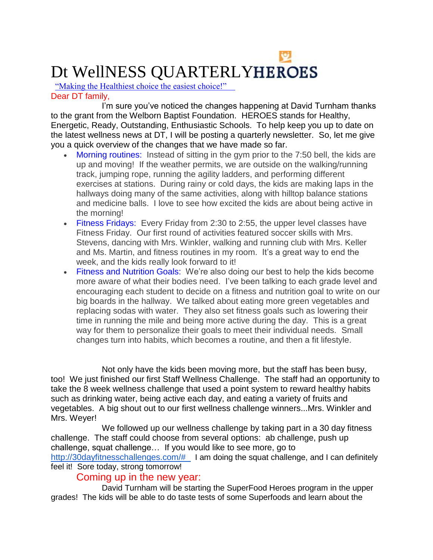## Dt WellNESS QUARTERLY

 "Making the Healthiest choice the easiest choice!" Dear DT family,

I'm sure you've noticed the changes happening at David Turnham thanks to the grant from the Welborn Baptist Foundation. HEROES stands for Healthy, Energetic, Ready, Outstanding, Enthusiastic Schools. To help keep you up to date on the latest wellness news at DT, I will be posting a quarterly newsletter. So, let me give you a quick overview of the changes that we have made so far.

- Morning routines: Instead of sitting in the gym prior to the 7:50 bell, the kids are up and moving! If the weather permits, we are outside on the walking/running track, jumping rope, running the agility ladders, and performing different exercises at stations. During rainy or cold days, the kids are making laps in the hallways doing many of the same activities, along with hilltop balance stations and medicine balls. I love to see how excited the kids are about being active in the morning!
- Fitness Fridays: Every Friday from 2:30 to 2:55, the upper level classes have Fitness Friday. Our first round of activities featured soccer skills with Mrs. Stevens, dancing with Mrs. Winkler, walking and running club with Mrs. Keller and Ms. Martin, and fitness routines in my room. It's a great way to end the week, and the kids really look forward to it!
- Fitness and Nutrition Goals: We're also doing our best to help the kids become more aware of what their bodies need. I've been talking to each grade level and encouraging each student to decide on a fitness and nutrition goal to write on our big boards in the hallway. We talked about eating more green vegetables and replacing sodas with water. They also set fitness goals such as lowering their time in running the mile and being more active during the day. This is a great way for them to personalize their goals to meet their individual needs. Small changes turn into habits, which becomes a routine, and then a fit lifestyle.

Not only have the kids been moving more, but the staff has been busy, too! We just finished our first Staff Wellness Challenge. The staff had an opportunity to take the 8 week wellness challenge that used a point system to reward healthy habits such as drinking water, being active each day, and eating a variety of fruits and vegetables. A big shout out to our first wellness challenge winners...Mrs. Winkler and Mrs. Weyer!

We followed up our wellness challenge by taking part in a 30 day fitness challenge. The staff could choose from several options: ab challenge, push up challenge, squat challenge… If you would like to see more, go to [http://30dayfitnesschallenges.com/#\\_](http://30dayfitnesschallenges.com/#_) I am doing the squat challenge, and I can definitely feel it! Sore today, strong tomorrow!

## Coming up in the new year:

David Turnham will be starting the SuperFood Heroes program in the upper grades! The kids will be able to do taste tests of some Superfoods and learn about the